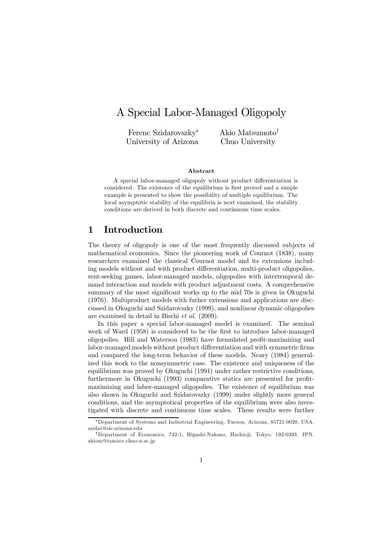# A Special Labor-Managed Oligopoly

Ferenc Szidarovszky<sup>∗</sup> University of Arizona Akio Matsumoto† Chuo University

#### Abstract

A special labor-managed oligopoly without product differentiation is considered. The existence of the equilibrium is first proved and a simple example is presented to show the possibility of multiple equilibrium. The local asymptotic stability of the equilibria is next examined, the stability conditions are derived in both discrete and continuous time scales.

### 1 Introduction

The theory of oligopoly is one of the most frequently discussed subjects of mathematical economics. Since the pioneering work of Cournot (1838), many researchers examined the classical Cournot model and its extensions including models without and with product differentiation, multi-product oligopolies, rent-seeking games, labor-managed models, oligopolies with intertemporal demand interaction and models with product adjustment costs. A comprehensive summary of the most significant works up to the mid 70s is given in Okuguchi (1976). Multiproduct models with futher extensions and applications are disccussed in Okuguchi and Szidarovszky (1999), and nonlinear dynamic oligopolies are examined in detail in Bischi et al. (2009).

In this paper a special labor-managed model is examined. The seminal work of Ward (1958) is considered to be the first to introduce labor-managed oligopolies. Hill and Waterson (1983) have formulated profit-maximizing and labor-managed models without product differentiation and with symmetric firms and compared the long-term behavior of these models. Neary (1984) generalized this work to the nonsymmetric case. The existence and uniqueness of the equilibrium was proved by Okuguchi (1991) under rather restrictive conditions, furthermore in Okuguchi (1993) comparative statics are presented for profitmaximizing and labor-managed oligopolies. The existence of equilibrium was also shown in Okuguchi and Szidarovszky (1999) under slightly more general conditions, and the asymptotical properties of the equilibrium were also investigated with discrete and continuous time scales. These results were further

<sup>∗</sup>Department of Systems and Industrial Engineering, Tucson, Arizona, 85721-0020, USA. szidar@sie.arizona.edu

<sup>†</sup>Department of Economics, 742-1, Higashi-Nakano, Hachio ji, Tokyo, 192-0393, JPN. akiom@tamacc.chuo-u.ac.jp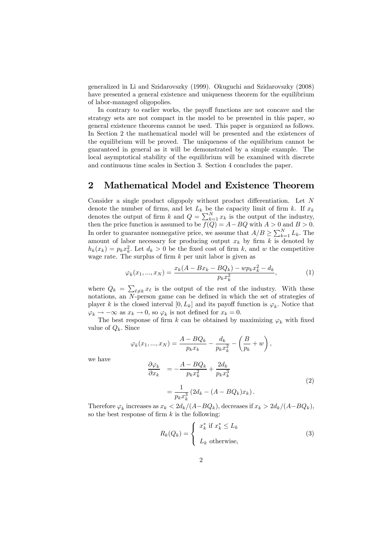generalized in Li and Szidarovszky (1999). Okuguchi and Szidarovszky (2008) have presented a general existence and uniqueness theorem for the equilibrium of labor-managed oligopolies.

In contrary to earlier works, the payoff functions are not concave and the strategy sets are not compact in the model to be presented in this paper, so general existence theorems cannot be used. This paper is organized as follows. In Section 2 the mathematical model will be presented and the existences of the equilibrium will be proved. The uniqueness of the equilibrium cannot be guaranteed in general as it will be demonstrated by a simple example. The local asymptotical stability of the equilibrium will be examined with discrete and continuous time scales in Section 3. Section 4 concludes the paper.

### 2 Mathematical Model and Existence Theorem

Consider a single product oligopoly without product differentiation. Let N denote the number of firms, and let  $L_k$  be the capacity limit of firm k. If  $x_k$ denotes the output of firm k and  $Q = \sum_{k=1}^{N} x_k$  is the output of the industry, then the price function is assumed to be  $f(Q) = A - BQ$  with  $A > 0$  and  $B > 0$ . In order to guarantee nonnegative price, we assume that  $A/B \geq \sum_{k=1}^{N} L_k$ . The amount of labor necessary for producing output  $x_k$  by firm k is denoted by  $h_k(x_k) = p_k x_k^2$ . Let  $d_k > 0$  be the fixed cost of firm k, and w the competitive wage rate. The surplus of firm  $k$  per unit labor is given as

$$
\varphi_k(x_1, ..., x_N) = \frac{x_k(A - Bx_k - BQ_k) - wp_k x_k^2 - d_k}{p_k x_k^2},
$$
\n(1)

where  $Q_k = \sum_{\ell \neq k} x_{\ell}$  is the output of the rest of the industry. With these notations, an N-person game can be defined in which the set of strategies of player k is the closed interval  $[0, L_k]$  and its payoff function is  $\varphi_k$ . Notice that  $\varphi_k \to -\infty$  as  $x_k \to 0$ , so  $\varphi_k$  is not defined for  $x_k = 0$ .

The best response of firm k can be obtained by maximizing  $\varphi_k$  with fixed value of  $Q_k$ . Since

$$
\varphi_k(x_1, ..., x_N) = \frac{A - BQ_k}{p_k x_k} - \frac{d_k}{p_k x_k^2} - \left(\frac{B}{p_k} + w\right),
$$

we have

$$
\frac{\partial \varphi_k}{\partial x_k} = -\frac{A - BQ_k}{p_k x_k^2} + \frac{2d_k}{p_k x_k^3}
$$
  
= 
$$
\frac{1}{p_k x_k^3} (2d_k - (A - BQ_k)x_k).
$$
 (2)

Therefore  $\varphi_k$  increases as  $x_k < 2d_k/(A-BQ_k)$ , decreases if  $x_k > 2d_k/(A-BQ_k)$ , so the best response of firm  $k$  is the following:

$$
R_k(Q_k) = \begin{cases} x_k^* & \text{if } x_k^* \le L_k \\ L_k & \text{otherwise,} \end{cases}
$$
 (3)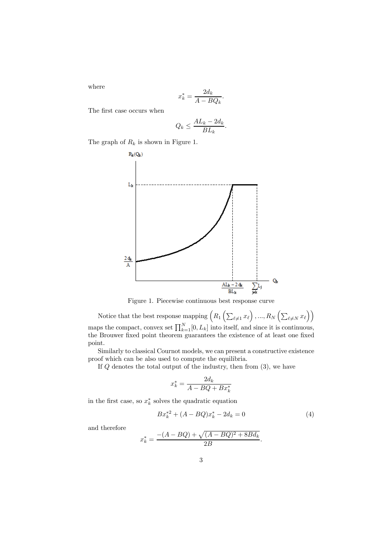where

$$
x_k^* = \frac{2d_k}{A - BQ_k}.
$$

The first case occurs when

$$
Q_k \le \frac{AL_k - 2d_k}{BL_k}.
$$

The graph of  $R_k$  is shown in Figure 1.



Figure 1. Piecewise continuous best response curve

Notice that the best response mapping  $\Big(R_1\left(\sum_{\ell\neq 1}x_\ell\right),...,R_N\left(\sum_{\ell\neq N}x_\ell\right)\Big)$ maps the compact, convex set  $\prod_{k=1}^{N} [0, L_k]$  into itself, and since it is continuous, the Brouwer fixed point theorem guarantees the existence of at least one fixed point.

Similarly to classical Cournot models, we can present a constructive existence proof which can be also used to compute the equilibria.

If  $Q$  denotes the total output of the industry, then from  $(3)$ , we have

$$
x_k^* = \frac{2d_k}{A - BQ + Bx_k^*}
$$

in the first case, so  $x_k^*$  solves the quadratic equation

$$
Bx_k^{*2} + (A - BQ)x_k^* - 2d_k = 0
$$
\n<sup>(4)</sup>

and therefore

$$
x_k^* = \frac{-(A - BQ) + \sqrt{(A - BQ)^2 + 8Bd_k}}{2B}.
$$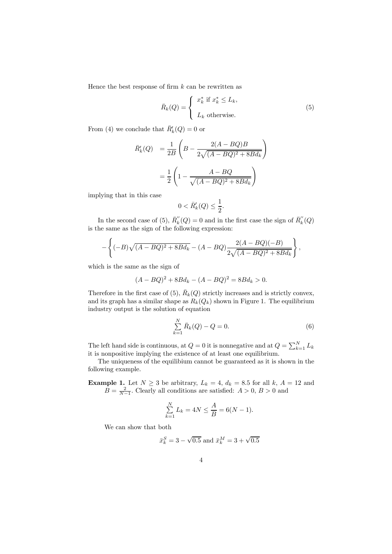Hence the best response of firm  $k$  can be rewritten as

$$
\bar{R}_k(Q) = \begin{cases} x_k^* \text{ if } x_k^* \le L_k, \\ L_k \text{ otherwise.} \end{cases}
$$
 (5)

From (4) we conclude that  $\bar{R}'_k(Q) = 0$  or

$$
\bar{R}'_k(Q) = \frac{1}{2B} \left( B - \frac{2(A - BQ)B}{2\sqrt{(A - BQ)^2 + 8Bd_k}} \right)
$$

$$
= \frac{1}{2} \left( 1 - \frac{A - BQ}{\sqrt{(A - BQ)^2 + 8Bd_k}} \right)
$$

implying that in this case

$$
0 < \bar{R}'_k(Q) \le \frac{1}{2}.
$$

In the second case of (5),  $\overline{R}_{k}''(Q) = 0$  and in the first case the sign of  $\overline{R}_{k}''(Q)$ is the same as the sign of the following expression:

$$
-\left\{(-B)\sqrt{(A-BQ)^2+8Bd_k}-(A-BQ)\frac{2(A-BQ)(-B)}{2\sqrt{(A-BQ)^2+8Bd_k}}\right\},\,
$$

which is the same as the sign of

$$
(A - BQ)^{2} + 8Bd_{k} - (A - BQ)^{2} = 8Bd_{k} > 0.
$$

Therefore in the first case of (5),  $\bar{R}_k(Q)$  strictly increases and is strictly convex, and its graph has a similar shape as  $R_k(Q_k)$  shown in Figure 1. The equilibrium industry output is the solution of equation

$$
\sum_{k=1}^{N} \bar{R}_k(Q) - Q = 0.
$$
\n(6)

The left hand side is continuous, at  $Q = 0$  it is nonnegative and at  $Q = \sum_{k=1}^{N} L_k$ it is nonpositive implying the existence of at least one equilibrium.

The uniqueness of the equilibium cannot be guaranteed as it is shown in the following example.

**Example 1.** Let  $N \ge 3$  be arbitrary,  $L_k = 4$ ,  $d_k = 8.5$  for all  $k$ ,  $A = 12$  and  $B = \frac{2}{N-1}$ . Clearly all conditions are satisfied:  $A > 0$ ,  $B > 0$  and

$$
\sum_{k=1}^{N} L_k = 4N \le \frac{A}{B} = 6(N-1).
$$

We can show that both

$$
\bar{x}_k^S = 3 - \sqrt{0.5}
$$
 and  $\bar{x}_k^M = 3 + \sqrt{0.5}$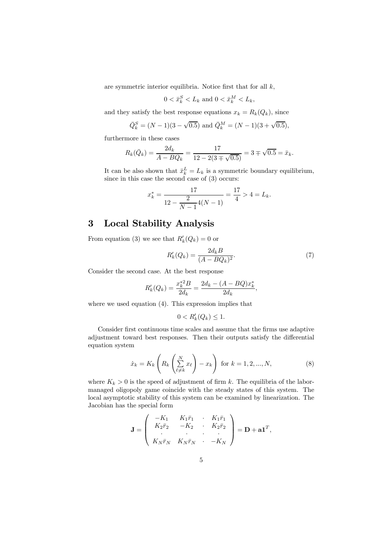are symmetric interior equilibria. Notice first that for all  $k$ ,

$$
0 < \bar{x}_k^S < L_k \text{ and } 0 < \bar{x}_k^M < L_k,
$$

and they satisfy the best response equations  $x_k = R_k(Q_k)$ , since

$$
\bar{Q}_k^S = (N-1)(3-\sqrt{0.5})
$$
 and  $\bar{Q}_k^M = (N-1)(3+\sqrt{0.5})$ ,

furthermore in these cases

$$
R_k(\bar{Q}_k) = \frac{2d_k}{A - B\bar{Q}_k} = \frac{17}{12 - 2(3 \mp \sqrt{0.5})} = 3 \mp \sqrt{0.5} = \bar{x}_k.
$$

It can be also shown that  $\bar{x}_k^L = L_k$  is a symmetric boundary equilibrium, since in this case the second case of (3) occurs:

$$
x_k^* = \frac{17}{12 - \frac{2}{N-1}4(N-1)} = \frac{17}{4} > 4 = L_k.
$$

## 3 Local Stability Analysis

From equation (3) we see that  $R'_k(Q_k)=0$  or

$$
R'_k(Q_k) = \frac{2d_k B}{(A - BQ_k)^2}.
$$
\n(7)

Consider the second case. At the best response

$$
R'_k(Q_k) = \frac{x_k^{*2}B}{2d_k} = \frac{2d_k - (A - BQ)x_k^*}{2d_k},
$$

where we used equation (4). This expression implies that

$$
0 < R'_k(Q_k) \le 1.
$$

Consider first continuous time scales and assume that the firms use adaptive adjustment toward best responses. Then their outputs satisfy the differential equation system

$$
\dot{x}_k = K_k \left( R_k \left( \sum_{\ell \neq k}^N x_\ell \right) - x_k \right) \text{ for } k = 1, 2, ..., N,
$$
 (8)

where  $K_k > 0$  is the speed of adjustment of firm k. The equilibria of the labormanaged oligopoly game coincide with the steady states of this system. The local asymptotic stability of this system can be examined by linearization. The Jacobian has the special form

$$
\mathbf{J} = \begin{pmatrix} -K_1 & K_1 \bar{r}_1 & \cdot & K_1 \bar{r}_1 \\ K_2 \bar{r}_2 & -K_2 & \cdot & K_2 \bar{r}_2 \\ \cdot & \cdot & \cdot & \cdot \\ K_N \bar{r}_N & K_N \bar{r}_N & \cdot & -K_N \end{pmatrix} = \mathbf{D} + \mathbf{a} \mathbf{1}^T,
$$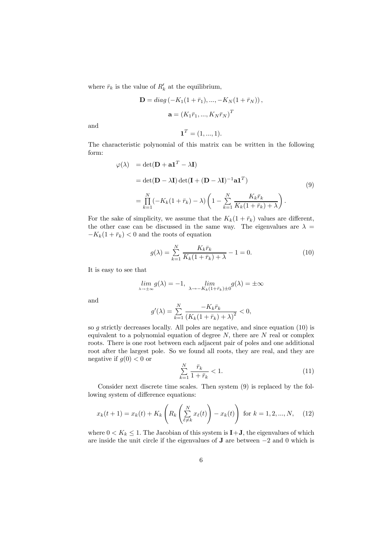where  $\bar{r}_k$  is the value of  $R'_k$  at the equilibrium,

$$
\mathbf{D} = diag(-K_1(1 + \bar{r}_1), ..., -K_N(1 + \bar{r}_N)),
$$
  

$$
\mathbf{a} = (K_1 \bar{r}_1, ..., K_N \bar{r}_N)^T
$$

and

$$
\mathbf{1}^T = (1, ..., 1).
$$

The characteristic polynomial of this matrix can be written in the following form:

$$
\varphi(\lambda) = \det(\mathbf{D} + \mathbf{a}\mathbf{1}^T - \lambda \mathbf{I})
$$
  
= 
$$
\det(\mathbf{D} - \lambda \mathbf{I}) \det(\mathbf{I} + (\mathbf{D} - \lambda \mathbf{I})^{-1} \mathbf{a}\mathbf{1}^T)
$$
  
= 
$$
\prod_{k=1}^{N} (-K_k(1 + \bar{r}_k) - \lambda) \left(1 - \sum_{k=1}^{N} \frac{K_k \bar{r}_k}{K_k(1 + \bar{r}_k) + \lambda}\right).
$$
 (9)

For the sake of simplicity, we assume that the  $K_k(1 + \bar{r}_k)$  values are different, the other case can be discussed in the same way. The eigenvalues are  $\lambda =$  $-K_k(1 + \bar{r}_k) < 0$  and the roots of equation

$$
g(\lambda) = \sum_{k=1}^{N} \frac{K_k \bar{r}_k}{K_k (1 + \bar{r}_k) + \lambda} - 1 = 0.
$$
 (10)

It is easy to see that

$$
\lim_{\lambda \to \pm \infty} g(\lambda) = -1, \quad \lim_{\lambda \to -K_k(1 + \bar{r}_k) \pm 0} g(\lambda) = \pm \infty
$$

and

$$
g'(\lambda) = \sum_{k=1}^{N} \frac{-K_k \bar{r}_k}{(K_k(1 + \bar{r}_k) + \lambda)^2} < 0,
$$

so  $g$  strictly decreases locally. All poles are negative, and since equation (10) is equivalent to a polynomial equation of degree  $N$ , there are  $N$  real or complex roots. There is one root between each adjacent pair of poles and one additional root after the largest pole. So we found all roots, they are real, and they are negative if  $g(0) < 0$  or

$$
\sum_{k=1}^{N} \frac{\bar{r}_k}{1 + \bar{r}_k} < 1. \tag{11}
$$

Consider next discrete time scales. Then system (9) is replaced by the following system of difference equations:

$$
x_k(t+1) = x_k(t) + K_k \left( R_k \left( \sum_{\ell \neq k}^N x_\ell(t) \right) - x_k(t) \right) \text{ for } k = 1, 2, ..., N, \quad (12)
$$

where  $0 < K_k \leq 1$ . The Jacobian of this system is  $\mathbf{I} + \mathbf{J}$ , the eigenvalues of which are inside the unit circle if the eigenvalues of J are between −2 and 0 which is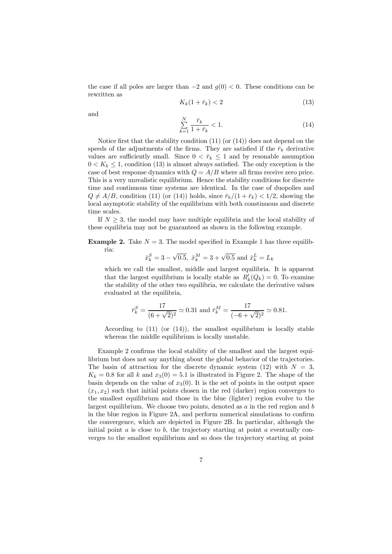the case if all poles are larger than  $-2$  and  $g(0) < 0$ . These conditions can be rewritten as

$$
K_k(1 + \bar{r}_k) < 2\tag{13}
$$

and

$$
\sum_{k=1}^{N} \frac{\bar{r}_k}{1 + \bar{r}_k} < 1. \tag{14}
$$

Notice first that the stability condition  $(11)$  (or  $(14)$ ) does not depend on the speeds of the adjustments of the firms. They are satisfied if the  $\bar{r}_k$  derivative values are sufficiently small. Since  $0 < \bar{r}_k \leq 1$  and by resonable assumption  $0 < K_k \leq 1$ , condition (13) is almost always satisfied. The only exception is the case of best response dynamics with  $Q = A/B$  where all firms receive zero price. This is a very unrealistic equilibrium. Hence the stability conditions for discrete time and continuous time systems are identical. In the case of duopolies and  $Q \neq A/B$ , condition (11) (or (14)) holds, since  $\bar{r}_k/(1 + \bar{r}_k) < 1/2$ , showing the local asymptotic stability of the equilibrium with both constinuous and discrete time scales.

If  $N \geq 3$ , the model may have multiple equilibria and the local stability of these equilibria may not be guaranteed as shown in the following example.

**Example 2.** Take  $N = 3$ . The model specified in Example 1 has three equilibria:

$$
\bar{x}_k^S=3-\sqrt{0.5},~\bar{x}_k^M=3+\sqrt{0.5}
$$
 and  $\bar{x}_k^L=L_k$ 

which we call the smallest, middle and largest equilibria. It is apparent that the largest equilibrium is locally stable as  $R'_k(Q_k)=0$ . To examine the stability of the other two equilibria, we calculate the derivative values evaluated at the equilibria,

$$
\bar{r}_k^S = \frac{17}{(6+\sqrt{2})^2} \simeq 0.31 \text{ and } \bar{r}_k^M = \frac{17}{(-6+\sqrt{2})^2} \simeq 0.81.
$$

According to (11) (or (14)), the smallest equilibrium is locally stable whereas the middle equilibrium is locally unstable.

Example 2 confirms the local stability of the smallest and the largest equilibrium but does not say anything about the global behavior of the trajectories. The basin of attraction for the discrete dynamic system  $(12)$  with  $N = 3$ .  $K_k = 0.8$  for all k and  $x_3(0) = 5.1$  is illustrated in Figure 2. The shape of the basin depends on the value of  $x_3(0)$ . It is the set of points in the output space  $(x_1, x_2)$  such that initial points chosen in the red (darker) region converges to the smallest equilibrium and those in the blue (lighter) region evolve to the largest equilibrium. We choose two points, denoted as  $a$  in the red region and  $b$ in the blue region in Figure 2A, and perform numerical simulations to confirm the convergence, which are depicted in Figure 2B. In particular, although the initial point  $a$  is close to  $b$ , the trajectory starting at point  $a$  eventually converges to the smallest equilibrium and so does the trajectory starting at point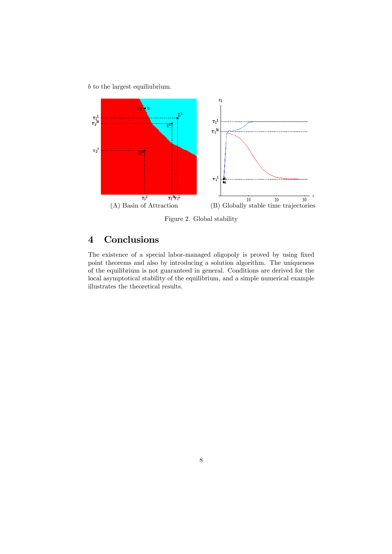b to the largest equiliubrium.



Figure 2. Global stability

# 4 Conclusions

The existence of a special labor-managed oligopoly is proved by using fixed point theorems and also by introducing a solution algorithm. The uniqueness of the equilibrium is not guaranteed in general. Conditions are derived for the local asymptotical stability of the equilibrium, and a simple numerical example illustrates the theoretical results.